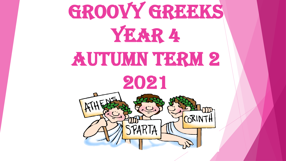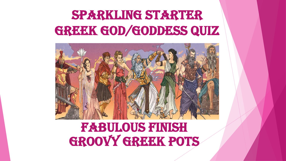#### Sparkling Starter GREEK GOD/GODDESS QUIZ



#### Fabulous Finish GROOVY GREEK POTS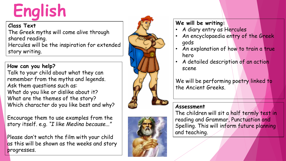## **English**

#### **Class Text**

The Greek myths will come alive through shared reading. Hercules will be the inspiration for extended story writing.

#### **How can you help?**

Talk to your child about what they can remember from the myths and legends. Ask them questions such as: What do you like or dislike about it? What are the themes of the story? Which character do you like best and why?

Encourage them to use examples from the story itself. e.g. *"I like Medina because..."*

Please don't watch the film with your child as this will be shown as the weeks and story progresses.





#### **We will be writing:**

- A diary entry as Hercules
- An encyclopaedia entry of the Greek gods
- An explanation of how to train a true hero
- A detailed description of an action scene

We will be performing poetry linked to the Ancient Greeks .

#### **Assessment**

The children will sit a half termly test in reading and Grammar, Punctuation and Spelling. This will inform future planning and teaching.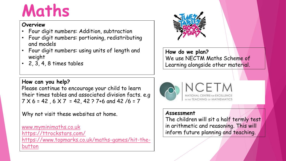### **Maths**

#### **Overview**

- Four digit numbers: Addition, subtraction
- Four digit numbers: portioning, redistributing and models
- Four digit numbers: using units of length and weight
- 2, 3, 4, 8 times tables

**How do we plan?** We use NECTM Maths Scheme of Learning alongside other material.

**How can you help?** Please continue to encourage your child to learn their times tables and associated division facts. e.g  $7 \times 6 = 42$ ,  $6 \times 7 = 42$ ,  $42 \div 7 + 6$  and  $42 / 6 = 7$ 

Why not visit these websites at home.

[www.myminimaths.co.uk](http://www.myminimaths.co.uk/) <https://ttrockstars.com/> [https://www.topmarks.co.uk/maths-games/hit-the](https://www.topmarks.co.uk/maths-games/hit-the-button)button



IN THE TEACHING OF MATHEMATICS

#### **Assessment**

The children will sit a half termly test in arithmetic and reasoning. This will inform future planning and teaching.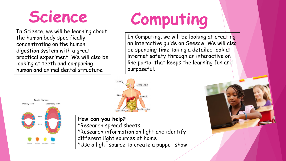### **Science**

In Science, we will be learning about the human body specifically concentrating on the human digestion system with a great practical experiment. We will also be looking at teeth and comparing human and animal dental structure.

## **Computing**

In Computing, we will be looking at creating an interactive guide on Seesaw. We will also be spending time taking a detailed look at internet safety through an interactive on line portal that keeps the learning fun and purposeful.



**Primary Teeth Secondary Teeth** 

**Teeth Names** 

**How can you help?** \*Research spread sheets \*Research information on light and identify different light sources at home \*Use a light source to create a puppet show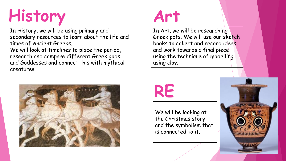## **History**

In History, we will be using primary and secondary resources [to learn about the life and](https://www.google.com/url?sa=i&rct=j&q=&esrc=s&source=images&cd=&cad=rja&uact=8&ved=2ahUKEwjNkqiPp9beAhVPxYUKHZkTA4oQjRx6BAgBEAU&url=https://www.biography.com/people/william-blake-9214491&psig=AOvVaw0Evhvd-7TraoXp-zS1TMDQ&ust=1542368107977972)  times of Ancient Greeks.

We will look at timelines to place the period, research and compare different Greek gods and Goddesses and connect this with mythical creatures.



#### **Art**

In Art, we will be researching Greek pots. We will use our sketch books to collect and record ideas and work towards a final piece using the technique of modelling using clay.

### **RE**

We will be looking at the Christmas story and the symbolism that is connected to it.

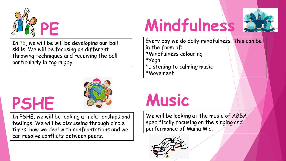

In PE, we will be will be developing our ball skills. We will be focusing on different throwing techniques and receiving the ball particularly in tag rugby.

### **PSHE**



In PSHE, we will be looking at relationships and feelings. We will be discussing through circle times, how we deal with confrontations and we can resolve conflicts between peers.

# **Mindfulness**



Every day we do daily mindfulness. This can be in the form of: \*Mindfulness colouring \*Yoga \*Listening to calming music \*Movement

### **Music**

We will be looking at the music of ABBA specifically focusing on the singing and performance of Mama Mia.